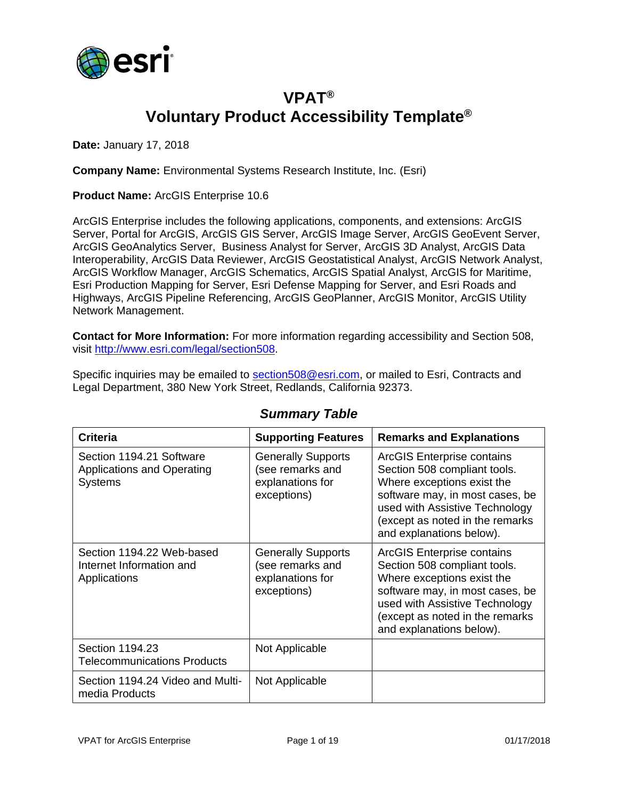

## **VPAT® Voluntary Product Accessibility Template®**

**Date:** January 17, 2018

**Company Name:** Environmental Systems Research Institute, Inc. (Esri)

**Product Name:** ArcGIS Enterprise 10.6

ArcGIS Enterprise includes the following applications, components, and extensions: ArcGIS Server, Portal for ArcGIS, ArcGIS GIS Server, ArcGIS Image Server, ArcGIS GeoEvent Server, ArcGIS GeoAnalytics Server, Business Analyst for Server, ArcGIS 3D Analyst, ArcGIS Data Interoperability, ArcGIS Data Reviewer, ArcGIS Geostatistical Analyst, ArcGIS Network Analyst, ArcGIS Workflow Manager, ArcGIS Schematics, ArcGIS Spatial Analyst, ArcGIS for Maritime, Esri Production Mapping for Server, Esri Defense Mapping for Server, and Esri Roads and Highways, ArcGIS Pipeline Referencing, ArcGIS GeoPlanner, ArcGIS Monitor, ArcGIS Utility Network Management.

**Contact for More Information:** For more information regarding accessibility and Section 508, visit [http://www.esri.com/legal/section508.](http://www.esri.com/legal/section508)

Specific inquiries may be emailed to [section508@esri.com,](mailto:section508@esri.com) or mailed to Esri, Contracts and Legal Department, 380 New York Street, Redlands, California 92373.

| <b>Criteria</b>                                                                 | <b>Supporting Features</b>                                                       | <b>Remarks and Explanations</b>                                                                                                                                                                                                     |
|---------------------------------------------------------------------------------|----------------------------------------------------------------------------------|-------------------------------------------------------------------------------------------------------------------------------------------------------------------------------------------------------------------------------------|
| Section 1194.21 Software<br><b>Applications and Operating</b><br><b>Systems</b> | <b>Generally Supports</b><br>(see remarks and<br>explanations for<br>exceptions) | <b>ArcGIS Enterprise contains</b><br>Section 508 compliant tools.<br>Where exceptions exist the<br>software may, in most cases, be<br>used with Assistive Technology<br>(except as noted in the remarks<br>and explanations below). |
| Section 1194.22 Web-based<br>Internet Information and<br>Applications           | <b>Generally Supports</b><br>(see remarks and<br>explanations for<br>exceptions) | <b>ArcGIS Enterprise contains</b><br>Section 508 compliant tools.<br>Where exceptions exist the<br>software may, in most cases, be<br>used with Assistive Technology<br>(except as noted in the remarks<br>and explanations below). |
| Section 1194.23<br><b>Telecommunications Products</b>                           | Not Applicable                                                                   |                                                                                                                                                                                                                                     |
| Section 1194.24 Video and Multi-<br>media Products                              | Not Applicable                                                                   |                                                                                                                                                                                                                                     |

#### *Summary Table*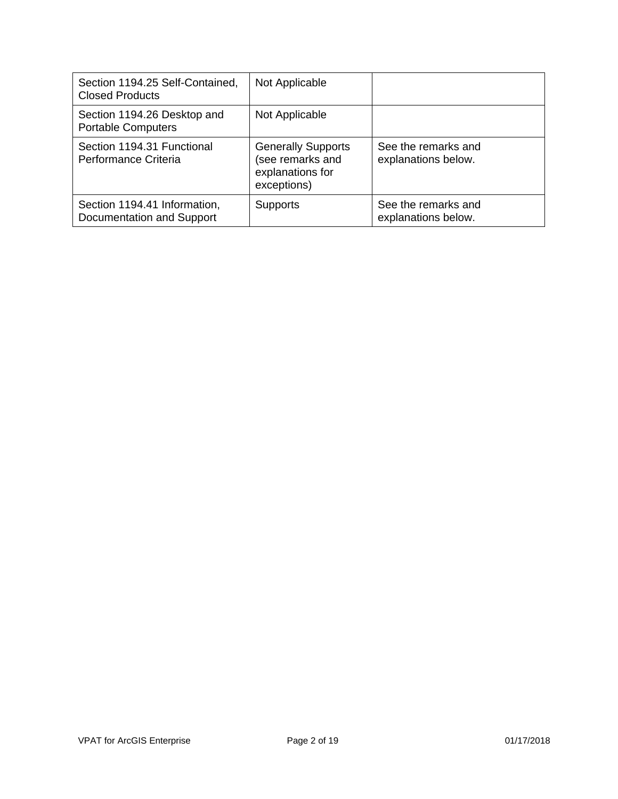| Section 1194.25 Self-Contained,<br><b>Closed Products</b> | Not Applicable                                                                   |                                            |
|-----------------------------------------------------------|----------------------------------------------------------------------------------|--------------------------------------------|
| Section 1194.26 Desktop and<br><b>Portable Computers</b>  | Not Applicable                                                                   |                                            |
| Section 1194.31 Functional<br>Performance Criteria        | <b>Generally Supports</b><br>(see remarks and<br>explanations for<br>exceptions) | See the remarks and<br>explanations below. |
| Section 1194.41 Information,<br>Documentation and Support | <b>Supports</b>                                                                  | See the remarks and<br>explanations below. |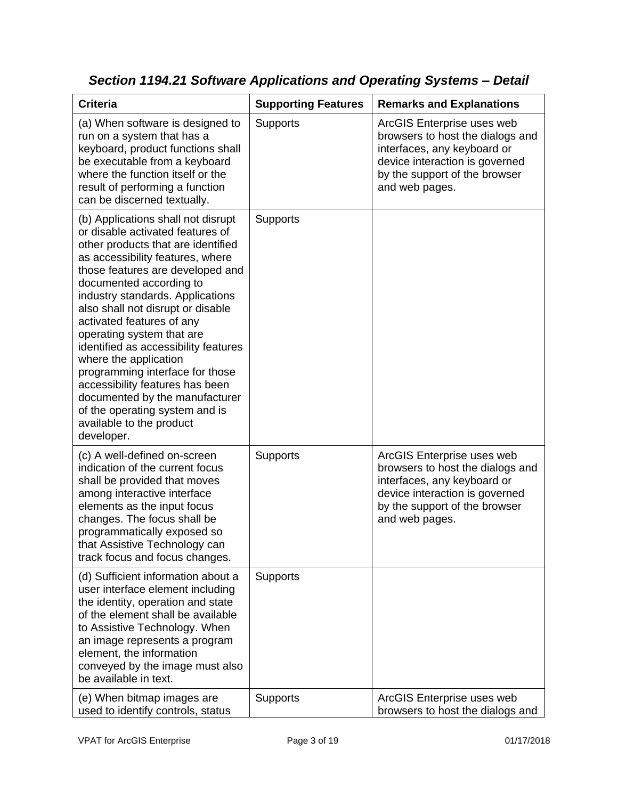| <b>Criteria</b>                                                                                                                                                                                                                                                                                                                                                                                                                                                                                                                                                                                         | <b>Supporting Features</b> | <b>Remarks and Explanations</b>                                                                                                                                                    |
|---------------------------------------------------------------------------------------------------------------------------------------------------------------------------------------------------------------------------------------------------------------------------------------------------------------------------------------------------------------------------------------------------------------------------------------------------------------------------------------------------------------------------------------------------------------------------------------------------------|----------------------------|------------------------------------------------------------------------------------------------------------------------------------------------------------------------------------|
| (a) When software is designed to<br>run on a system that has a<br>keyboard, product functions shall<br>be executable from a keyboard<br>where the function itself or the<br>result of performing a function<br>can be discerned textually.                                                                                                                                                                                                                                                                                                                                                              | Supports                   | ArcGIS Enterprise uses web<br>browsers to host the dialogs and<br>interfaces, any keyboard or<br>device interaction is governed<br>by the support of the browser<br>and web pages. |
| (b) Applications shall not disrupt<br>or disable activated features of<br>other products that are identified<br>as accessibility features, where<br>those features are developed and<br>documented according to<br>industry standards. Applications<br>also shall not disrupt or disable<br>activated features of any<br>operating system that are<br>identified as accessibility features<br>where the application<br>programming interface for those<br>accessibility features has been<br>documented by the manufacturer<br>of the operating system and is<br>available to the product<br>developer. | Supports                   |                                                                                                                                                                                    |
| (c) A well-defined on-screen<br>indication of the current focus<br>shall be provided that moves<br>among interactive interface<br>elements as the input focus<br>changes. The focus shall be<br>programmatically exposed so<br>that Assistive Technology can<br>track focus and focus changes.                                                                                                                                                                                                                                                                                                          | <b>Supports</b>            | ArcGIS Enterprise uses web<br>browsers to host the dialogs and<br>interfaces, any keyboard or<br>device interaction is governed<br>by the support of the browser<br>and web pages. |
| (d) Sufficient information about a<br>user interface element including<br>the identity, operation and state<br>of the element shall be available<br>to Assistive Technology. When<br>an image represents a program<br>element, the information<br>conveyed by the image must also<br>be available in text.                                                                                                                                                                                                                                                                                              | <b>Supports</b>            |                                                                                                                                                                                    |
| (e) When bitmap images are<br>used to identify controls, status                                                                                                                                                                                                                                                                                                                                                                                                                                                                                                                                         | <b>Supports</b>            | ArcGIS Enterprise uses web<br>browsers to host the dialogs and                                                                                                                     |

*Section 1194.21 Software Applications and Operating Systems – Detail*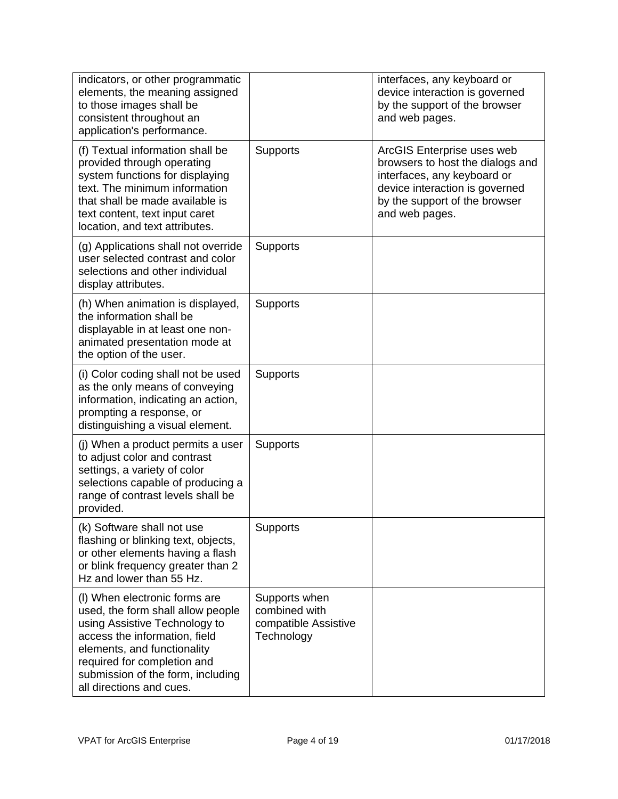| indicators, or other programmatic<br>elements, the meaning assigned<br>to those images shall be<br>consistent throughout an<br>application's performance.                                                                                                           |                                                                      | interfaces, any keyboard or<br>device interaction is governed<br>by the support of the browser<br>and web pages.                                                                   |
|---------------------------------------------------------------------------------------------------------------------------------------------------------------------------------------------------------------------------------------------------------------------|----------------------------------------------------------------------|------------------------------------------------------------------------------------------------------------------------------------------------------------------------------------|
| (f) Textual information shall be<br>provided through operating<br>system functions for displaying<br>text. The minimum information<br>that shall be made available is<br>text content, text input caret<br>location, and text attributes.                           | Supports                                                             | ArcGIS Enterprise uses web<br>browsers to host the dialogs and<br>interfaces, any keyboard or<br>device interaction is governed<br>by the support of the browser<br>and web pages. |
| (g) Applications shall not override<br>user selected contrast and color<br>selections and other individual<br>display attributes.                                                                                                                                   | Supports                                                             |                                                                                                                                                                                    |
| (h) When animation is displayed,<br>the information shall be<br>displayable in at least one non-<br>animated presentation mode at<br>the option of the user.                                                                                                        | <b>Supports</b>                                                      |                                                                                                                                                                                    |
| (i) Color coding shall not be used<br>as the only means of conveying<br>information, indicating an action,<br>prompting a response, or<br>distinguishing a visual element.                                                                                          | Supports                                                             |                                                                                                                                                                                    |
| (j) When a product permits a user<br>to adjust color and contrast<br>settings, a variety of color<br>selections capable of producing a<br>range of contrast levels shall be<br>provided.                                                                            | <b>Supports</b>                                                      |                                                                                                                                                                                    |
| (k) Software shall not use<br>flashing or blinking text, objects,<br>or other elements having a flash<br>or blink frequency greater than 2<br>Hz and lower than 55 Hz.                                                                                              | Supports                                                             |                                                                                                                                                                                    |
| (I) When electronic forms are<br>used, the form shall allow people<br>using Assistive Technology to<br>access the information, field<br>elements, and functionality<br>required for completion and<br>submission of the form, including<br>all directions and cues. | Supports when<br>combined with<br>compatible Assistive<br>Technology |                                                                                                                                                                                    |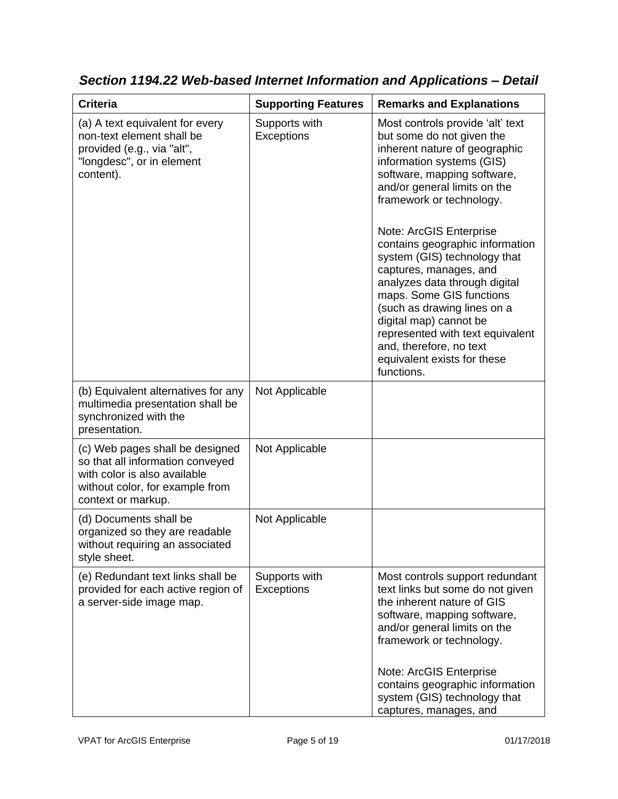| <b>Criteria</b>                                                                                                                                              | <b>Supporting Features</b>         | <b>Remarks and Explanations</b>                                                                                                                                                                                                                                                                                                                                                                                                                                                                                                                                                  |
|--------------------------------------------------------------------------------------------------------------------------------------------------------------|------------------------------------|----------------------------------------------------------------------------------------------------------------------------------------------------------------------------------------------------------------------------------------------------------------------------------------------------------------------------------------------------------------------------------------------------------------------------------------------------------------------------------------------------------------------------------------------------------------------------------|
| (a) A text equivalent for every<br>non-text element shall be<br>provided (e.g., via "alt",<br>"longdesc", or in element<br>content).                         | Supports with<br><b>Exceptions</b> | Most controls provide 'alt' text<br>but some do not given the<br>inherent nature of geographic<br>information systems (GIS)<br>software, mapping software,<br>and/or general limits on the<br>framework or technology.<br>Note: ArcGIS Enterprise<br>contains geographic information<br>system (GIS) technology that<br>captures, manages, and<br>analyzes data through digital<br>maps. Some GIS functions<br>(such as drawing lines on a<br>digital map) cannot be<br>represented with text equivalent<br>and, therefore, no text<br>equivalent exists for these<br>functions. |
| (b) Equivalent alternatives for any<br>multimedia presentation shall be<br>synchronized with the<br>presentation.                                            | Not Applicable                     |                                                                                                                                                                                                                                                                                                                                                                                                                                                                                                                                                                                  |
| (c) Web pages shall be designed<br>so that all information conveyed<br>with color is also available<br>without color, for example from<br>context or markup. | Not Applicable                     |                                                                                                                                                                                                                                                                                                                                                                                                                                                                                                                                                                                  |
| (d) Documents shall be<br>organized so they are readable<br>without requiring an associated<br>style sheet.                                                  | Not Applicable                     |                                                                                                                                                                                                                                                                                                                                                                                                                                                                                                                                                                                  |
| (e) Redundant text links shall be<br>provided for each active region of<br>a server-side image map.                                                          | Supports with<br>Exceptions        | Most controls support redundant<br>text links but some do not given<br>the inherent nature of GIS<br>software, mapping software,<br>and/or general limits on the<br>framework or technology.<br>Note: ArcGIS Enterprise<br>contains geographic information<br>system (GIS) technology that<br>captures, manages, and                                                                                                                                                                                                                                                             |

*Section 1194.22 Web-based Internet Information and Applications – Detail*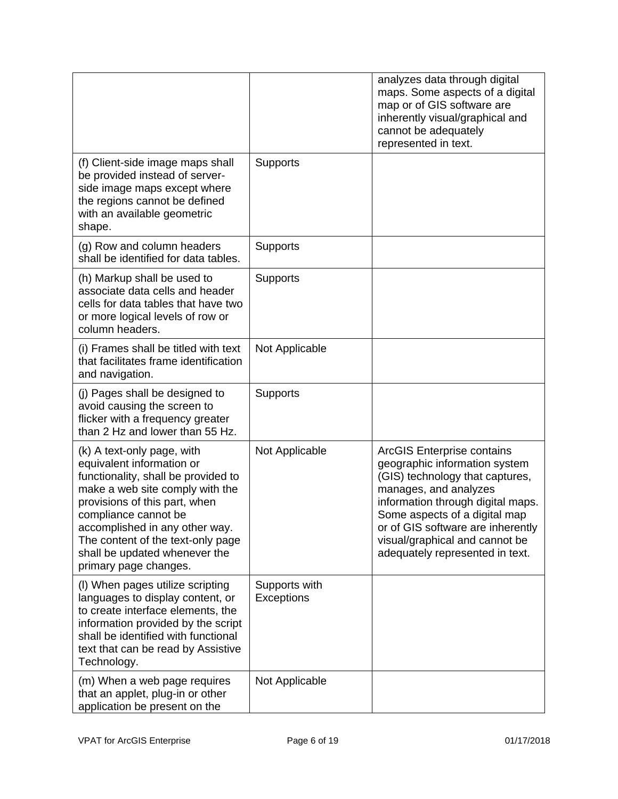|                                                                                                                                                                                                                                                                                                                             |                                    | analyzes data through digital<br>maps. Some aspects of a digital<br>map or of GIS software are<br>inherently visual/graphical and<br>cannot be adequately<br>represented in text.                                                                                                                              |
|-----------------------------------------------------------------------------------------------------------------------------------------------------------------------------------------------------------------------------------------------------------------------------------------------------------------------------|------------------------------------|----------------------------------------------------------------------------------------------------------------------------------------------------------------------------------------------------------------------------------------------------------------------------------------------------------------|
| (f) Client-side image maps shall<br>be provided instead of server-<br>side image maps except where<br>the regions cannot be defined<br>with an available geometric<br>shape.                                                                                                                                                | Supports                           |                                                                                                                                                                                                                                                                                                                |
| (g) Row and column headers<br>shall be identified for data tables.                                                                                                                                                                                                                                                          | <b>Supports</b>                    |                                                                                                                                                                                                                                                                                                                |
| (h) Markup shall be used to<br>associate data cells and header<br>cells for data tables that have two<br>or more logical levels of row or<br>column headers.                                                                                                                                                                | Supports                           |                                                                                                                                                                                                                                                                                                                |
| (i) Frames shall be titled with text<br>that facilitates frame identification<br>and navigation.                                                                                                                                                                                                                            | Not Applicable                     |                                                                                                                                                                                                                                                                                                                |
| (j) Pages shall be designed to<br>avoid causing the screen to<br>flicker with a frequency greater<br>than 2 Hz and lower than 55 Hz.                                                                                                                                                                                        | Supports                           |                                                                                                                                                                                                                                                                                                                |
| (k) A text-only page, with<br>equivalent information or<br>functionality, shall be provided to<br>make a web site comply with the<br>provisions of this part, when<br>compliance cannot be<br>accomplished in any other way.<br>The content of the text-only page<br>shall be updated whenever the<br>primary page changes. | Not Applicable                     | <b>ArcGIS Enterprise contains</b><br>geographic information system<br>(GIS) technology that captures,<br>manages, and analyzes<br>information through digital maps.<br>Some aspects of a digital map<br>or of GIS software are inherently<br>visual/graphical and cannot be<br>adequately represented in text. |
| (I) When pages utilize scripting<br>languages to display content, or<br>to create interface elements, the<br>information provided by the script<br>shall be identified with functional<br>text that can be read by Assistive<br>Technology.                                                                                 | Supports with<br><b>Exceptions</b> |                                                                                                                                                                                                                                                                                                                |
| (m) When a web page requires<br>that an applet, plug-in or other<br>application be present on the                                                                                                                                                                                                                           | Not Applicable                     |                                                                                                                                                                                                                                                                                                                |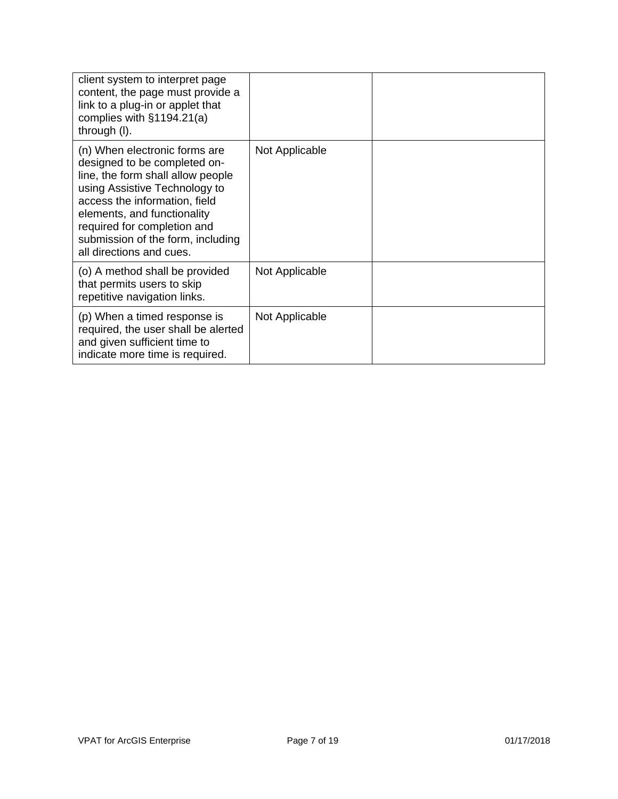| client system to interpret page<br>content, the page must provide a<br>link to a plug-in or applet that<br>complies with $§1194.21(a)$<br>through (I).                                                                                                                                              |                |  |
|-----------------------------------------------------------------------------------------------------------------------------------------------------------------------------------------------------------------------------------------------------------------------------------------------------|----------------|--|
| (n) When electronic forms are<br>designed to be completed on-<br>line, the form shall allow people<br>using Assistive Technology to<br>access the information, field<br>elements, and functionality<br>required for completion and<br>submission of the form, including<br>all directions and cues. | Not Applicable |  |
| (o) A method shall be provided<br>that permits users to skip<br>repetitive navigation links.                                                                                                                                                                                                        | Not Applicable |  |
| (p) When a timed response is<br>required, the user shall be alerted<br>and given sufficient time to<br>indicate more time is required.                                                                                                                                                              | Not Applicable |  |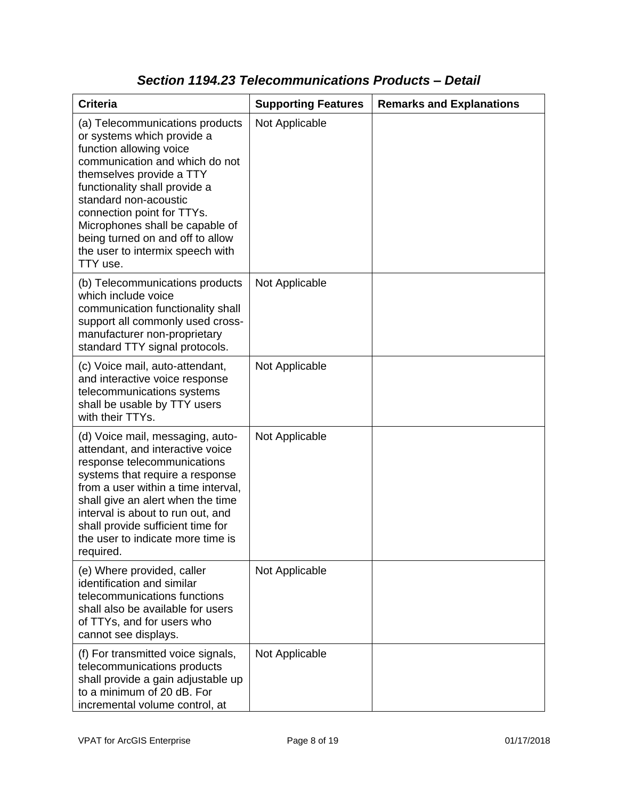| <b>Criteria</b>                                                                                                                                                                                                                                                                                                                                                       | <b>Supporting Features</b> | <b>Remarks and Explanations</b> |
|-----------------------------------------------------------------------------------------------------------------------------------------------------------------------------------------------------------------------------------------------------------------------------------------------------------------------------------------------------------------------|----------------------------|---------------------------------|
| (a) Telecommunications products<br>or systems which provide a<br>function allowing voice<br>communication and which do not<br>themselves provide a TTY<br>functionality shall provide a<br>standard non-acoustic<br>connection point for TTYs.<br>Microphones shall be capable of<br>being turned on and off to allow<br>the user to intermix speech with<br>TTY use. | Not Applicable             |                                 |
| (b) Telecommunications products<br>which include voice<br>communication functionality shall<br>support all commonly used cross-<br>manufacturer non-proprietary<br>standard TTY signal protocols.                                                                                                                                                                     | Not Applicable             |                                 |
| (c) Voice mail, auto-attendant,<br>and interactive voice response<br>telecommunications systems<br>shall be usable by TTY users<br>with their TTYs.                                                                                                                                                                                                                   | Not Applicable             |                                 |
| (d) Voice mail, messaging, auto-<br>attendant, and interactive voice<br>response telecommunications<br>systems that require a response<br>from a user within a time interval,<br>shall give an alert when the time<br>interval is about to run out, and<br>shall provide sufficient time for<br>the user to indicate more time is<br>required.                        | Not Applicable             |                                 |
| (e) Where provided, caller<br>identification and similar<br>telecommunications functions<br>shall also be available for users<br>of TTYs, and for users who<br>cannot see displays.                                                                                                                                                                                   | Not Applicable             |                                 |
| (f) For transmitted voice signals,<br>telecommunications products<br>shall provide a gain adjustable up<br>to a minimum of 20 dB. For<br>incremental volume control, at                                                                                                                                                                                               | Not Applicable             |                                 |

#### *Section 1194.23 Telecommunications Products – Detail*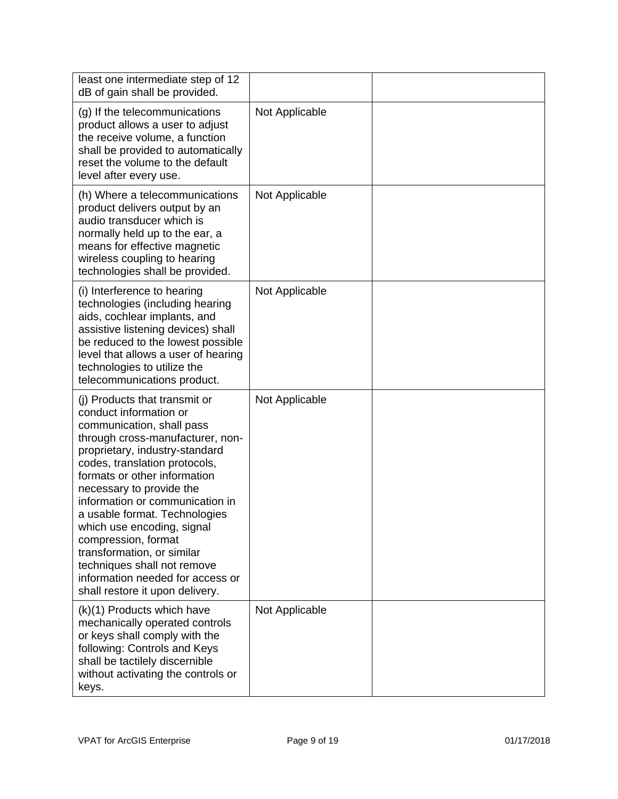| least one intermediate step of 12<br>dB of gain shall be provided.                                                                                                                                                                                                                                                                                                                                                                                                                                                   |                |  |
|----------------------------------------------------------------------------------------------------------------------------------------------------------------------------------------------------------------------------------------------------------------------------------------------------------------------------------------------------------------------------------------------------------------------------------------------------------------------------------------------------------------------|----------------|--|
| (g) If the telecommunications<br>product allows a user to adjust<br>the receive volume, a function<br>shall be provided to automatically<br>reset the volume to the default<br>level after every use.                                                                                                                                                                                                                                                                                                                | Not Applicable |  |
| (h) Where a telecommunications<br>product delivers output by an<br>audio transducer which is<br>normally held up to the ear, a<br>means for effective magnetic<br>wireless coupling to hearing<br>technologies shall be provided.                                                                                                                                                                                                                                                                                    | Not Applicable |  |
| (i) Interference to hearing<br>technologies (including hearing<br>aids, cochlear implants, and<br>assistive listening devices) shall<br>be reduced to the lowest possible<br>level that allows a user of hearing<br>technologies to utilize the<br>telecommunications product.                                                                                                                                                                                                                                       | Not Applicable |  |
| (i) Products that transmit or<br>conduct information or<br>communication, shall pass<br>through cross-manufacturer, non-<br>proprietary, industry-standard<br>codes, translation protocols,<br>formats or other information<br>necessary to provide the<br>information or communication in<br>a usable format. Technologies<br>which use encoding, signal<br>compression, format<br>transformation, or similar<br>techniques shall not remove<br>information needed for access or<br>shall restore it upon delivery. | Not Applicable |  |
| (k)(1) Products which have<br>mechanically operated controls<br>or keys shall comply with the<br>following: Controls and Keys<br>shall be tactilely discernible<br>without activating the controls or<br>keys.                                                                                                                                                                                                                                                                                                       | Not Applicable |  |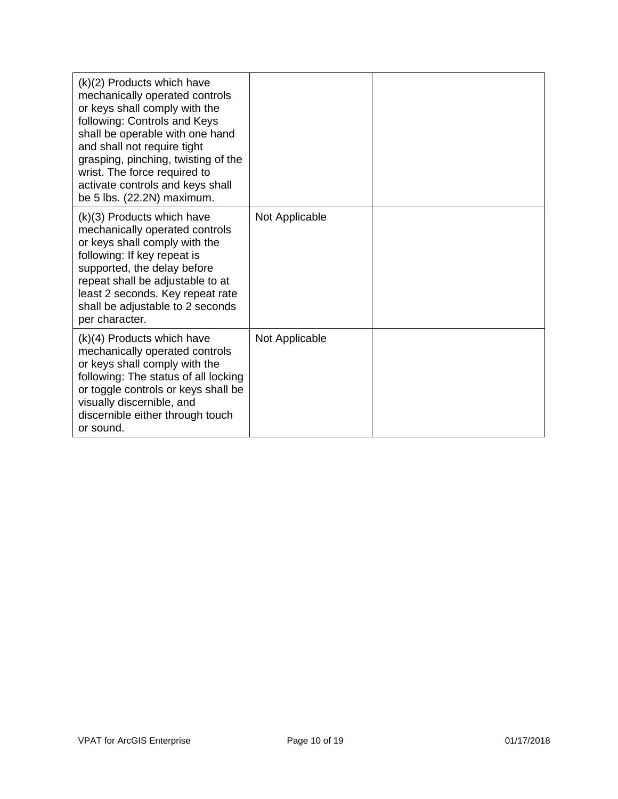| $(k)(2)$ Products which have<br>mechanically operated controls<br>or keys shall comply with the<br>following: Controls and Keys<br>shall be operable with one hand<br>and shall not require tight<br>grasping, pinching, twisting of the<br>wrist. The force required to<br>activate controls and keys shall<br>be 5 lbs. (22.2N) maximum. |                |  |
|--------------------------------------------------------------------------------------------------------------------------------------------------------------------------------------------------------------------------------------------------------------------------------------------------------------------------------------------|----------------|--|
| $(k)(3)$ Products which have<br>mechanically operated controls<br>or keys shall comply with the<br>following: If key repeat is<br>supported, the delay before<br>repeat shall be adjustable to at<br>least 2 seconds. Key repeat rate<br>shall be adjustable to 2 seconds<br>per character.                                                | Not Applicable |  |
| $(k)(4)$ Products which have<br>mechanically operated controls<br>or keys shall comply with the<br>following: The status of all locking<br>or toggle controls or keys shall be<br>visually discernible, and<br>discernible either through touch<br>or sound.                                                                               | Not Applicable |  |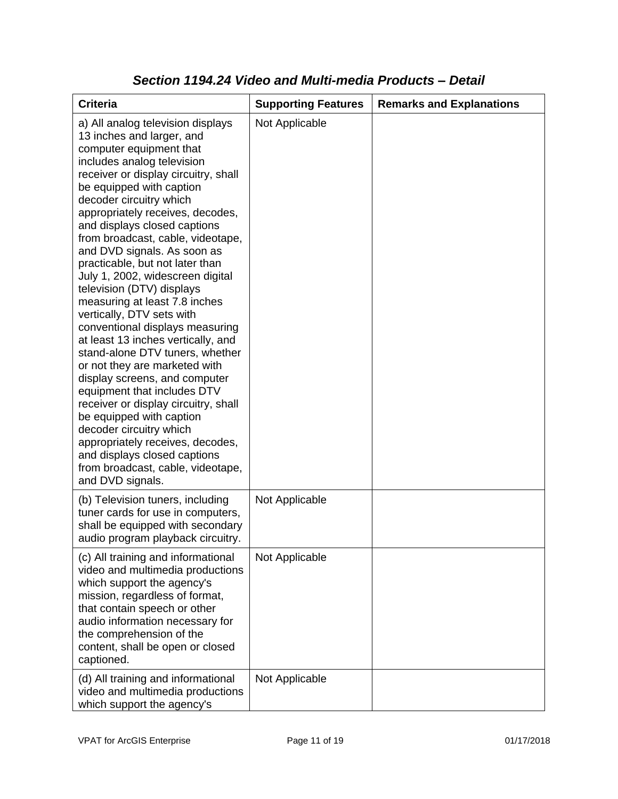| <b>Criteria</b>                                                                                                                                                                                                                                                                                                                                                                                                                                                                                                                                                                                                                                                                                                                                                                                                                                                                                                                                                           | <b>Supporting Features</b> | <b>Remarks and Explanations</b> |
|---------------------------------------------------------------------------------------------------------------------------------------------------------------------------------------------------------------------------------------------------------------------------------------------------------------------------------------------------------------------------------------------------------------------------------------------------------------------------------------------------------------------------------------------------------------------------------------------------------------------------------------------------------------------------------------------------------------------------------------------------------------------------------------------------------------------------------------------------------------------------------------------------------------------------------------------------------------------------|----------------------------|---------------------------------|
| a) All analog television displays<br>13 inches and larger, and<br>computer equipment that<br>includes analog television<br>receiver or display circuitry, shall<br>be equipped with caption<br>decoder circuitry which<br>appropriately receives, decodes,<br>and displays closed captions<br>from broadcast, cable, videotape,<br>and DVD signals. As soon as<br>practicable, but not later than<br>July 1, 2002, widescreen digital<br>television (DTV) displays<br>measuring at least 7.8 inches<br>vertically, DTV sets with<br>conventional displays measuring<br>at least 13 inches vertically, and<br>stand-alone DTV tuners, whether<br>or not they are marketed with<br>display screens, and computer<br>equipment that includes DTV<br>receiver or display circuitry, shall<br>be equipped with caption<br>decoder circuitry which<br>appropriately receives, decodes,<br>and displays closed captions<br>from broadcast, cable, videotape,<br>and DVD signals. | Not Applicable             |                                 |
| (b) Television tuners, including<br>tuner cards for use in computers,<br>shall be equipped with secondary<br>audio program playback circuitry.                                                                                                                                                                                                                                                                                                                                                                                                                                                                                                                                                                                                                                                                                                                                                                                                                            | Not Applicable             |                                 |
| (c) All training and informational<br>video and multimedia productions<br>which support the agency's<br>mission, regardless of format,<br>that contain speech or other<br>audio information necessary for<br>the comprehension of the<br>content, shall be open or closed<br>captioned.                                                                                                                                                                                                                                                                                                                                                                                                                                                                                                                                                                                                                                                                                   | Not Applicable             |                                 |
| (d) All training and informational<br>video and multimedia productions<br>which support the agency's                                                                                                                                                                                                                                                                                                                                                                                                                                                                                                                                                                                                                                                                                                                                                                                                                                                                      | Not Applicable             |                                 |

#### *Section 1194.24 Video and Multi-media Products – Detail*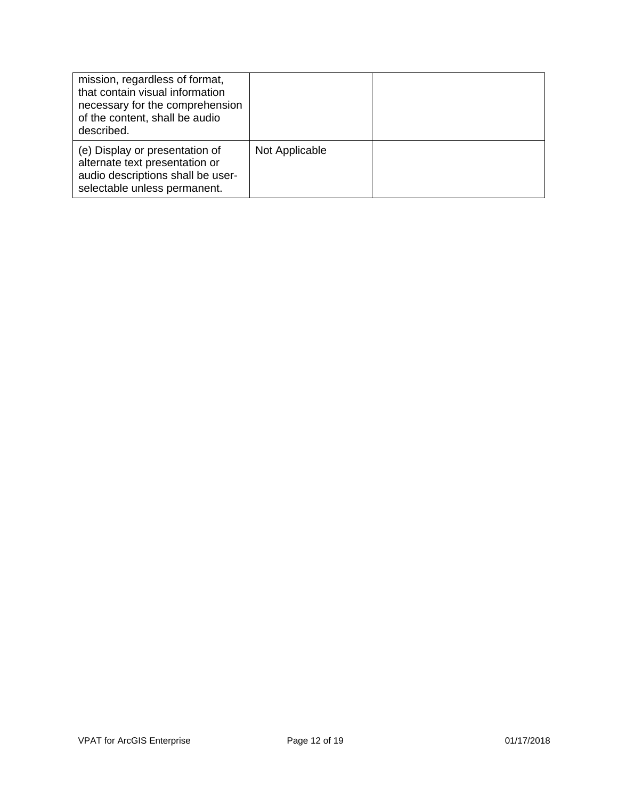| mission, regardless of format,<br>that contain visual information<br>necessary for the comprehension<br>of the content, shall be audio<br>described. |                |  |
|------------------------------------------------------------------------------------------------------------------------------------------------------|----------------|--|
| (e) Display or presentation of<br>alternate text presentation or<br>audio descriptions shall be user-<br>selectable unless permanent.                | Not Applicable |  |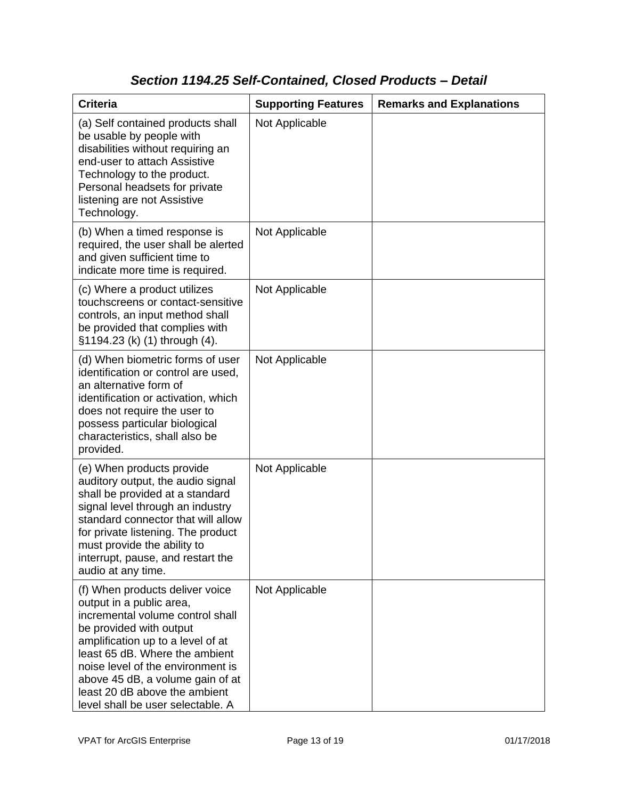### *Section 1194.25 Self-Contained, Closed Products – Detail*

| <b>Criteria</b>                                                                                                                                                                                                                                                                                                                                  | <b>Supporting Features</b> | <b>Remarks and Explanations</b> |
|--------------------------------------------------------------------------------------------------------------------------------------------------------------------------------------------------------------------------------------------------------------------------------------------------------------------------------------------------|----------------------------|---------------------------------|
| (a) Self contained products shall<br>be usable by people with<br>disabilities without requiring an<br>end-user to attach Assistive<br>Technology to the product.<br>Personal headsets for private<br>listening are not Assistive<br>Technology.                                                                                                  | Not Applicable             |                                 |
| (b) When a timed response is<br>required, the user shall be alerted<br>and given sufficient time to<br>indicate more time is required.                                                                                                                                                                                                           | Not Applicable             |                                 |
| (c) Where a product utilizes<br>touchscreens or contact-sensitive<br>controls, an input method shall<br>be provided that complies with<br>§1194.23 (k) (1) through (4).                                                                                                                                                                          | Not Applicable             |                                 |
| (d) When biometric forms of user<br>identification or control are used,<br>an alternative form of<br>identification or activation, which<br>does not require the user to<br>possess particular biological<br>characteristics, shall also be<br>provided.                                                                                         | Not Applicable             |                                 |
| (e) When products provide<br>auditory output, the audio signal<br>shall be provided at a standard<br>signal level through an industry<br>standard connector that will allow<br>for private listening. The product<br>must provide the ability to<br>interrupt, pause, and restart the<br>audio at any time.                                      | Not Applicable             |                                 |
| (f) When products deliver voice<br>output in a public area,<br>incremental volume control shall<br>be provided with output<br>amplification up to a level of at<br>least 65 dB. Where the ambient<br>noise level of the environment is<br>above 45 dB, a volume gain of at<br>least 20 dB above the ambient<br>level shall be user selectable. A | Not Applicable             |                                 |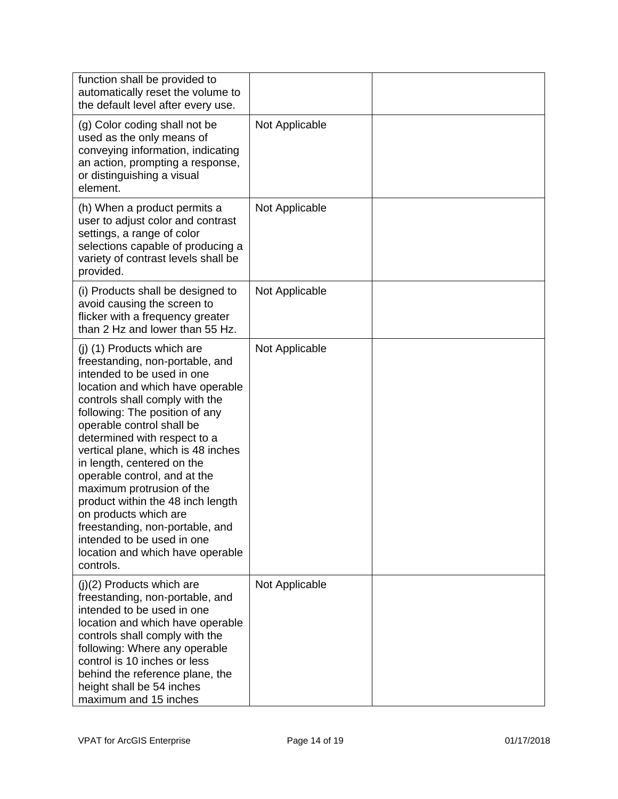| function shall be provided to<br>automatically reset the volume to<br>the default level after every use.                                                                                                                                                                                                                                                                                                                                                                                                                                                                          |                |  |
|-----------------------------------------------------------------------------------------------------------------------------------------------------------------------------------------------------------------------------------------------------------------------------------------------------------------------------------------------------------------------------------------------------------------------------------------------------------------------------------------------------------------------------------------------------------------------------------|----------------|--|
| (g) Color coding shall not be<br>used as the only means of<br>conveying information, indicating<br>an action, prompting a response,<br>or distinguishing a visual<br>element.                                                                                                                                                                                                                                                                                                                                                                                                     | Not Applicable |  |
| (h) When a product permits a<br>user to adjust color and contrast<br>settings, a range of color<br>selections capable of producing a<br>variety of contrast levels shall be<br>provided.                                                                                                                                                                                                                                                                                                                                                                                          | Not Applicable |  |
| (i) Products shall be designed to<br>avoid causing the screen to<br>flicker with a frequency greater<br>than 2 Hz and lower than 55 Hz.                                                                                                                                                                                                                                                                                                                                                                                                                                           | Not Applicable |  |
| (j) (1) Products which are<br>freestanding, non-portable, and<br>intended to be used in one<br>location and which have operable<br>controls shall comply with the<br>following: The position of any<br>operable control shall be<br>determined with respect to a<br>vertical plane, which is 48 inches<br>in length, centered on the<br>operable control, and at the<br>maximum protrusion of the<br>product within the 48 inch length<br>on products which are<br>freestanding, non-portable, and<br>intended to be used in one<br>location and which have operable<br>controls. | Not Applicable |  |
| $(j)(2)$ Products which are<br>freestanding, non-portable, and<br>intended to be used in one<br>location and which have operable<br>controls shall comply with the<br>following: Where any operable<br>control is 10 inches or less<br>behind the reference plane, the<br>height shall be 54 inches<br>maximum and 15 inches                                                                                                                                                                                                                                                      | Not Applicable |  |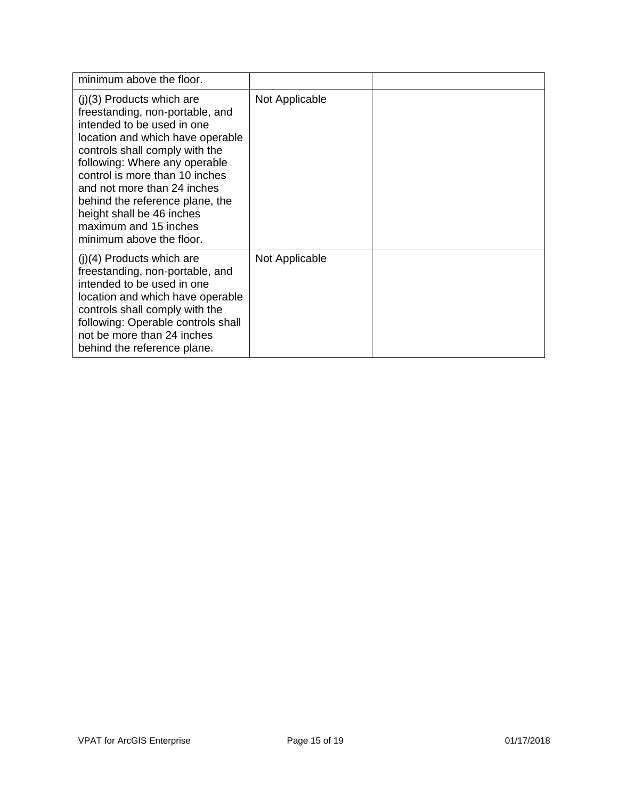| minimum above the floor.                                                                                                                                                                                                                                                                                                                                                                  |                |  |
|-------------------------------------------------------------------------------------------------------------------------------------------------------------------------------------------------------------------------------------------------------------------------------------------------------------------------------------------------------------------------------------------|----------------|--|
| $(j)(3)$ Products which are<br>freestanding, non-portable, and<br>intended to be used in one<br>location and which have operable<br>controls shall comply with the<br>following: Where any operable<br>control is more than 10 inches<br>and not more than 24 inches<br>behind the reference plane, the<br>height shall be 46 inches<br>maximum and 15 inches<br>minimum above the floor. | Not Applicable |  |
| $(j)(4)$ Products which are<br>freestanding, non-portable, and<br>intended to be used in one<br>location and which have operable<br>controls shall comply with the<br>following: Operable controls shall<br>not be more than 24 inches<br>behind the reference plane.                                                                                                                     | Not Applicable |  |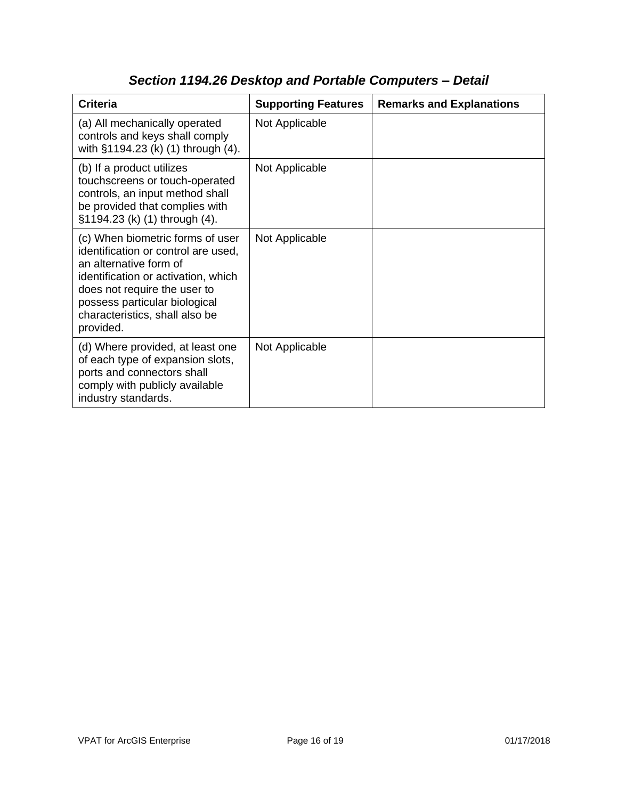| <b>Criteria</b>                                                                                                                                                                                                                                          | <b>Supporting Features</b> | <b>Remarks and Explanations</b> |
|----------------------------------------------------------------------------------------------------------------------------------------------------------------------------------------------------------------------------------------------------------|----------------------------|---------------------------------|
| (a) All mechanically operated<br>controls and keys shall comply<br>with §1194.23 (k) (1) through (4).                                                                                                                                                    | Not Applicable             |                                 |
| (b) If a product utilizes<br>touchscreens or touch-operated<br>controls, an input method shall<br>be provided that complies with<br>§1194.23 (k) (1) through (4).                                                                                        | Not Applicable             |                                 |
| (c) When biometric forms of user<br>identification or control are used,<br>an alternative form of<br>identification or activation, which<br>does not require the user to<br>possess particular biological<br>characteristics, shall also be<br>provided. | Not Applicable             |                                 |
| (d) Where provided, at least one<br>of each type of expansion slots,<br>ports and connectors shall<br>comply with publicly available<br>industry standards.                                                                                              | Not Applicable             |                                 |

# *Section 1194.26 Desktop and Portable Computers – Detail*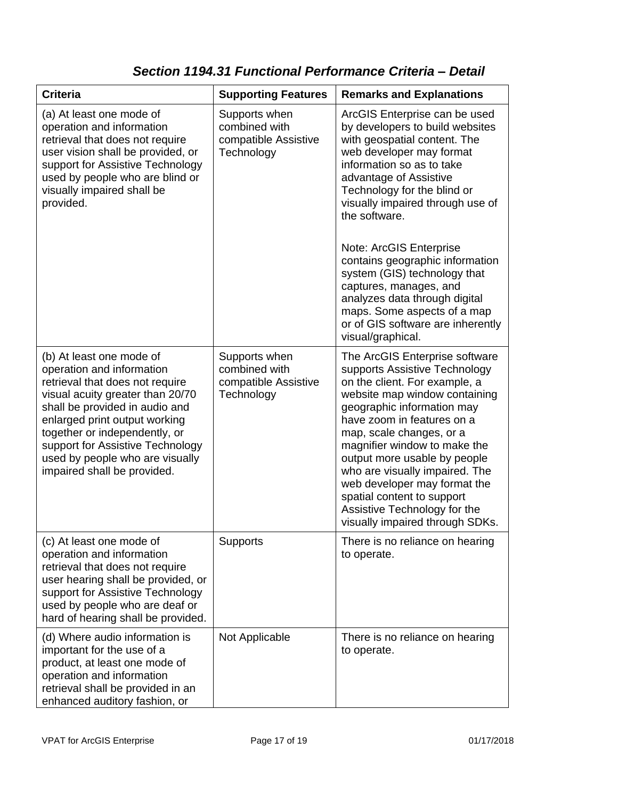### *Section 1194.31 Functional Performance Criteria – Detail*

| <b>Criteria</b>                                                                                                                                                                                                                                                                                                                        | <b>Supporting Features</b>                                           | <b>Remarks and Explanations</b>                                                                                                                                                                                                                                                                                                                                                                                                                                                                                           |
|----------------------------------------------------------------------------------------------------------------------------------------------------------------------------------------------------------------------------------------------------------------------------------------------------------------------------------------|----------------------------------------------------------------------|---------------------------------------------------------------------------------------------------------------------------------------------------------------------------------------------------------------------------------------------------------------------------------------------------------------------------------------------------------------------------------------------------------------------------------------------------------------------------------------------------------------------------|
| (a) At least one mode of<br>operation and information<br>retrieval that does not require<br>user vision shall be provided, or<br>support for Assistive Technology<br>used by people who are blind or<br>visually impaired shall be<br>provided.                                                                                        | Supports when<br>combined with<br>compatible Assistive<br>Technology | ArcGIS Enterprise can be used<br>by developers to build websites<br>with geospatial content. The<br>web developer may format<br>information so as to take<br>advantage of Assistive<br>Technology for the blind or<br>visually impaired through use of<br>the software.<br>Note: ArcGIS Enterprise<br>contains geographic information<br>system (GIS) technology that<br>captures, manages, and<br>analyzes data through digital<br>maps. Some aspects of a map<br>or of GIS software are inherently<br>visual/graphical. |
| (b) At least one mode of<br>operation and information<br>retrieval that does not require<br>visual acuity greater than 20/70<br>shall be provided in audio and<br>enlarged print output working<br>together or independently, or<br>support for Assistive Technology<br>used by people who are visually<br>impaired shall be provided. | Supports when<br>combined with<br>compatible Assistive<br>Technology | The ArcGIS Enterprise software<br>supports Assistive Technology<br>on the client. For example, a<br>website map window containing<br>geographic information may<br>have zoom in features on a<br>map, scale changes, or a<br>magnifier window to make the<br>output more usable by people<br>who are visually impaired. The<br>web developer may format the<br>spatial content to support<br>Assistive Technology for the<br>visually impaired through SDKs.                                                              |
| (c) At least one mode of<br>operation and information<br>retrieval that does not require<br>user hearing shall be provided, or<br>support for Assistive Technology<br>used by people who are deaf or<br>hard of hearing shall be provided.                                                                                             | Supports                                                             | There is no reliance on hearing<br>to operate.                                                                                                                                                                                                                                                                                                                                                                                                                                                                            |
| (d) Where audio information is<br>important for the use of a<br>product, at least one mode of<br>operation and information<br>retrieval shall be provided in an<br>enhanced auditory fashion, or                                                                                                                                       | Not Applicable                                                       | There is no reliance on hearing<br>to operate.                                                                                                                                                                                                                                                                                                                                                                                                                                                                            |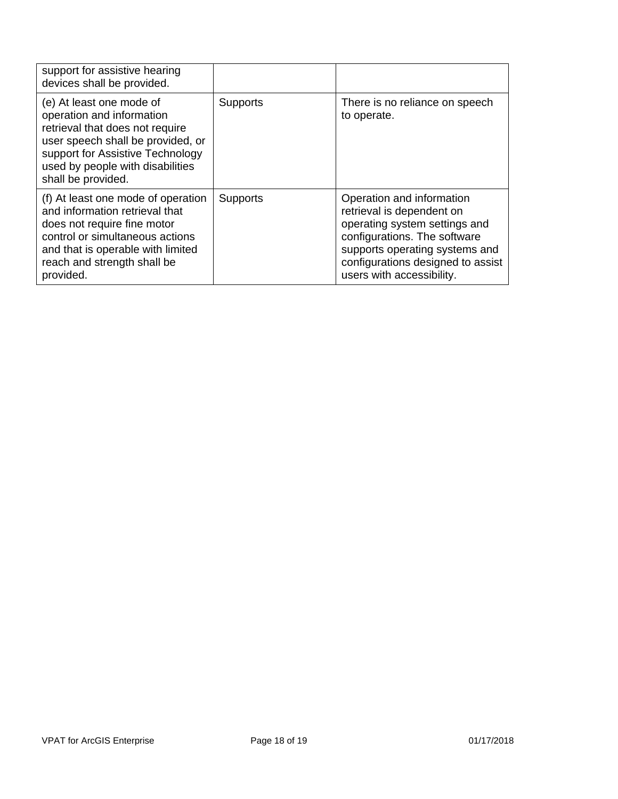| support for assistive hearing<br>devices shall be provided.                                                                                                                                                                 |                 |                                                                                                                                                                                                                             |
|-----------------------------------------------------------------------------------------------------------------------------------------------------------------------------------------------------------------------------|-----------------|-----------------------------------------------------------------------------------------------------------------------------------------------------------------------------------------------------------------------------|
| (e) At least one mode of<br>operation and information<br>retrieval that does not require<br>user speech shall be provided, or<br>support for Assistive Technology<br>used by people with disabilities<br>shall be provided. | <b>Supports</b> | There is no reliance on speech<br>to operate.                                                                                                                                                                               |
| (f) At least one mode of operation<br>and information retrieval that<br>does not require fine motor<br>control or simultaneous actions<br>and that is operable with limited<br>reach and strength shall be<br>provided.     | <b>Supports</b> | Operation and information<br>retrieval is dependent on<br>operating system settings and<br>configurations. The software<br>supports operating systems and<br>configurations designed to assist<br>users with accessibility. |